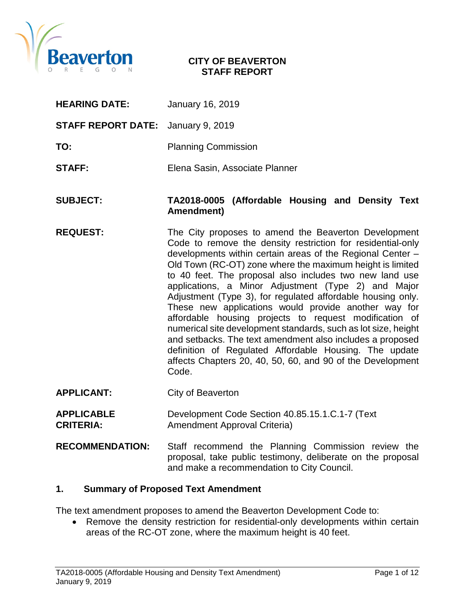

#### **CITY OF BEAVERTON STAFF REPORT**

| <b>HEARING DATE:</b>      | January 16, 2019                                                                                                                                                                                                                                                                                                                                                                                                                                                                                                                                                                                                                                                                                                                                                                                                  |  |  |  |  |
|---------------------------|-------------------------------------------------------------------------------------------------------------------------------------------------------------------------------------------------------------------------------------------------------------------------------------------------------------------------------------------------------------------------------------------------------------------------------------------------------------------------------------------------------------------------------------------------------------------------------------------------------------------------------------------------------------------------------------------------------------------------------------------------------------------------------------------------------------------|--|--|--|--|
| <b>STAFF REPORT DATE:</b> | January 9, 2019                                                                                                                                                                                                                                                                                                                                                                                                                                                                                                                                                                                                                                                                                                                                                                                                   |  |  |  |  |
| TO:                       | <b>Planning Commission</b>                                                                                                                                                                                                                                                                                                                                                                                                                                                                                                                                                                                                                                                                                                                                                                                        |  |  |  |  |
| <b>STAFF:</b>             | Elena Sasin, Associate Planner                                                                                                                                                                                                                                                                                                                                                                                                                                                                                                                                                                                                                                                                                                                                                                                    |  |  |  |  |
| <b>SUBJECT:</b>           | TA2018-0005 (Affordable Housing and Density Text<br>Amendment)                                                                                                                                                                                                                                                                                                                                                                                                                                                                                                                                                                                                                                                                                                                                                    |  |  |  |  |
| <b>REQUEST:</b>           | The City proposes to amend the Beaverton Development<br>Code to remove the density restriction for residential-only<br>developments within certain areas of the Regional Center -<br>Old Town (RC-OT) zone where the maximum height is limited<br>to 40 feet. The proposal also includes two new land use<br>applications, a Minor Adjustment (Type 2) and Major<br>Adjustment (Type 3), for regulated affordable housing only.<br>These new applications would provide another way for<br>affordable housing projects to request modification of<br>numerical site development standards, such as lot size, height<br>and setbacks. The text amendment also includes a proposed<br>definition of Regulated Affordable Housing. The update<br>affects Chapters 20, 40, 50, 60, and 90 of the Development<br>Code. |  |  |  |  |
| <b>APPLICANT:</b>         | City of Beaverton                                                                                                                                                                                                                                                                                                                                                                                                                                                                                                                                                                                                                                                                                                                                                                                                 |  |  |  |  |

- **APPLICABLE** Development Code Section 40.85.15.1.C.1-7 (Text Amendment Approval Criteria)
- **RECOMMENDATION:** Staff recommend the Planning Commission review the proposal, take public testimony, deliberate on the proposal and make a recommendation to City Council.

#### **1. Summary of Proposed Text Amendment**

The text amendment proposes to amend the Beaverton Development Code to:

• Remove the density restriction for residential-only developments within certain areas of the RC-OT zone, where the maximum height is 40 feet.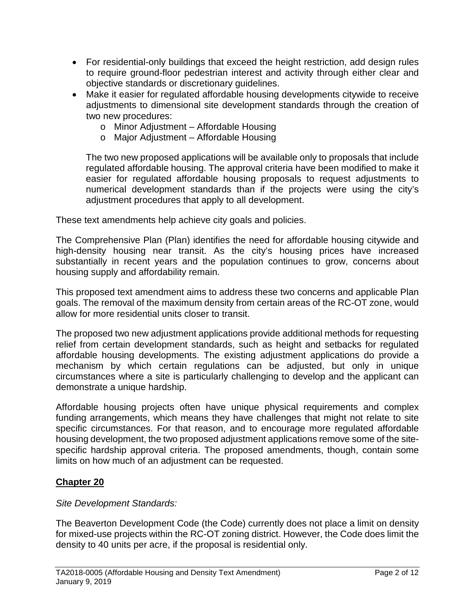- For residential-only buildings that exceed the height restriction, add design rules to require ground-floor pedestrian interest and activity through either clear and objective standards or discretionary guidelines.
- Make it easier for regulated affordable housing developments citywide to receive adjustments to dimensional site development standards through the creation of two new procedures:
	- o Minor Adjustment Affordable Housing
	- o Major Adjustment Affordable Housing

The two new proposed applications will be available only to proposals that include regulated affordable housing. The approval criteria have been modified to make it easier for regulated affordable housing proposals to request adjustments to numerical development standards than if the projects were using the city's adjustment procedures that apply to all development.

These text amendments help achieve city goals and policies.

The Comprehensive Plan (Plan) identifies the need for affordable housing citywide and high-density housing near transit. As the city's housing prices have increased substantially in recent years and the population continues to grow, concerns about housing supply and affordability remain.

This proposed text amendment aims to address these two concerns and applicable Plan goals. The removal of the maximum density from certain areas of the RC-OT zone, would allow for more residential units closer to transit.

The proposed two new adjustment applications provide additional methods for requesting relief from certain development standards, such as height and setbacks for regulated affordable housing developments. The existing adjustment applications do provide a mechanism by which certain regulations can be adjusted, but only in unique circumstances where a site is particularly challenging to develop and the applicant can demonstrate a unique hardship.

Affordable housing projects often have unique physical requirements and complex funding arrangements, which means they have challenges that might not relate to site specific circumstances. For that reason, and to encourage more regulated affordable housing development, the two proposed adjustment applications remove some of the sitespecific hardship approval criteria. The proposed amendments, though, contain some limits on how much of an adjustment can be requested.

# **Chapter 20**

## *Site Development Standards:*

The Beaverton Development Code (the Code) currently does not place a limit on density for mixed-use projects within the RC-OT zoning district. However, the Code does limit the density to 40 units per acre, if the proposal is residential only.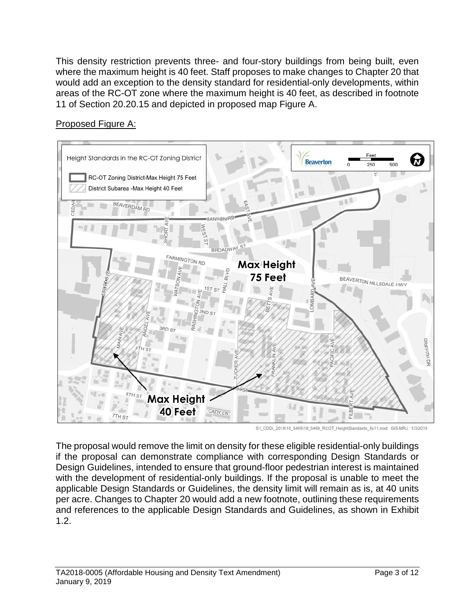This density restriction prevents three- and four-story buildings from being built, even where the maximum height is 40 feet. Staff proposes to make changes to Chapter 20 that would add an exception to the density standard for residential-only developments, within areas of the RC-OT zone where the maximum height is 40 feet, as described in footnote 11 of Section 20.20.15 and depicted in proposed map Figure A.

Proposed Figure A:



S:\\_CDD\\_2018\18\_5469\18\_5469\_RCOT\_HeightStandards\_8x11.mxd GIS-MRJ 1/3/2019

The proposal would remove the limit on density for these eligible residential-only buildings if the proposal can demonstrate compliance with corresponding Design Standards or Design Guidelines, intended to ensure that ground-floor pedestrian interest is maintained with the development of residential-only buildings. If the proposal is unable to meet the applicable Design Standards or Guidelines, the density limit will remain as is, at 40 units per acre. Changes to Chapter 20 would add a new footnote, outlining these requirements and references to the applicable Design Standards and Guidelines, as shown in Exhibit 1.2.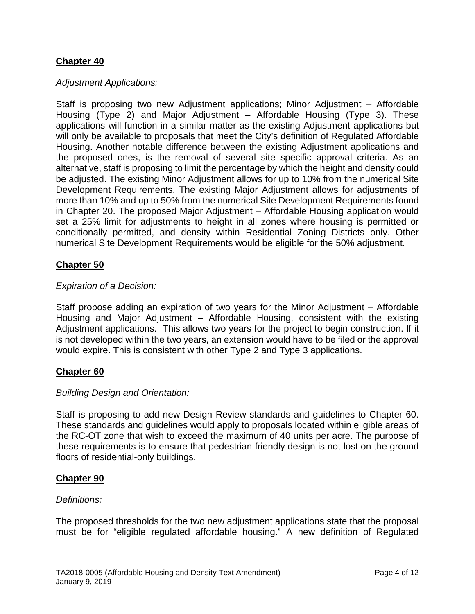## **Chapter 40**

### *Adjustment Applications:*

Staff is proposing two new Adjustment applications; Minor Adjustment – Affordable Housing (Type 2) and Major Adjustment – Affordable Housing (Type 3). These applications will function in a similar matter as the existing Adjustment applications but will only be available to proposals that meet the City's definition of Regulated Affordable Housing. Another notable difference between the existing Adjustment applications and the proposed ones, is the removal of several site specific approval criteria. As an alternative, staff is proposing to limit the percentage by which the height and density could be adjusted. The existing Minor Adjustment allows for up to 10% from the numerical Site Development Requirements. The existing Major Adjustment allows for adjustments of more than 10% and up to 50% from the numerical Site Development Requirements found in Chapter 20. The proposed Major Adjustment – Affordable Housing application would set a 25% limit for adjustments to height in all zones where housing is permitted or conditionally permitted, and density within Residential Zoning Districts only. Other numerical Site Development Requirements would be eligible for the 50% adjustment.

## **Chapter 50**

#### *Expiration of a Decision:*

Staff propose adding an expiration of two years for the Minor Adjustment – Affordable Housing and Major Adjustment – Affordable Housing, consistent with the existing Adjustment applications. This allows two years for the project to begin construction. If it is not developed within the two years, an extension would have to be filed or the approval would expire. This is consistent with other Type 2 and Type 3 applications.

#### **Chapter 60**

#### *Building Design and Orientation:*

Staff is proposing to add new Design Review standards and guidelines to Chapter 60. These standards and guidelines would apply to proposals located within eligible areas of the RC-OT zone that wish to exceed the maximum of 40 units per acre. The purpose of these requirements is to ensure that pedestrian friendly design is not lost on the ground floors of residential-only buildings.

#### **Chapter 90**

#### *Definitions:*

The proposed thresholds for the two new adjustment applications state that the proposal must be for "eligible regulated affordable housing." A new definition of Regulated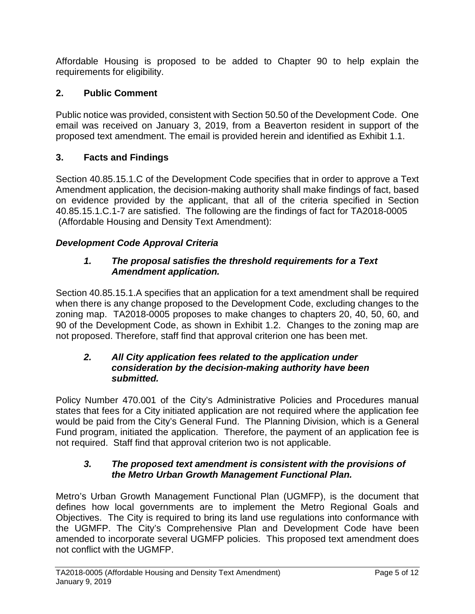Affordable Housing is proposed to be added to Chapter 90 to help explain the requirements for eligibility.

## **2. Public Comment**

Public notice was provided, consistent with Section 50.50 of the Development Code. One email was received on January 3, 2019, from a Beaverton resident in support of the proposed text amendment. The email is provided herein and identified as Exhibit 1.1.

## **3. Facts and Findings**

Section 40.85.15.1.C of the Development Code specifies that in order to approve a Text Amendment application, the decision-making authority shall make findings of fact, based on evidence provided by the applicant, that all of the criteria specified in Section 40.85.15.1.C.1-7 are satisfied. The following are the findings of fact for TA2018-0005 (Affordable Housing and Density Text Amendment):

## *Development Code Approval Criteria*

## *1. The proposal satisfies the threshold requirements for a Text Amendment application.*

Section 40.85.15.1.A specifies that an application for a text amendment shall be required when there is any change proposed to the Development Code, excluding changes to the zoning map. TA2018-0005 proposes to make changes to chapters 20, 40, 50, 60, and 90 of the Development Code, as shown in Exhibit 1.2. Changes to the zoning map are not proposed. Therefore, staff find that approval criterion one has been met.

## *2. All City application fees related to the application under consideration by the decision-making authority have been submitted.*

Policy Number 470.001 of the City's Administrative Policies and Procedures manual states that fees for a City initiated application are not required where the application fee would be paid from the City's General Fund. The Planning Division, which is a General Fund program, initiated the application. Therefore, the payment of an application fee is not required. Staff find that approval criterion two is not applicable.

## *3. The proposed text amendment is consistent with the provisions of the Metro Urban Growth Management Functional Plan.*

Metro's Urban Growth Management Functional Plan (UGMFP), is the document that defines how local governments are to implement the Metro Regional Goals and Objectives. The City is required to bring its land use regulations into conformance with the UGMFP. The City's Comprehensive Plan and Development Code have been amended to incorporate several UGMFP policies. This proposed text amendment does not conflict with the UGMFP.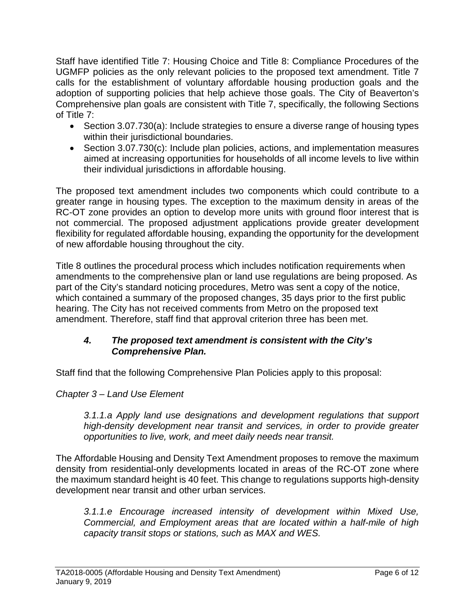Staff have identified Title 7: Housing Choice and Title 8: Compliance Procedures of the UGMFP policies as the only relevant policies to the proposed text amendment. Title 7 calls for the establishment of voluntary affordable housing production goals and the adoption of supporting policies that help achieve those goals. The City of Beaverton's Comprehensive plan goals are consistent with Title 7, specifically, the following Sections of Title 7:

- Section 3.07.730(a): Include strategies to ensure a diverse range of housing types within their jurisdictional boundaries.
- Section 3.07.730(c): Include plan policies, actions, and implementation measures aimed at increasing opportunities for households of all income levels to live within their individual jurisdictions in affordable housing.

The proposed text amendment includes two components which could contribute to a greater range in housing types. The exception to the maximum density in areas of the RC-OT zone provides an option to develop more units with ground floor interest that is not commercial. The proposed adjustment applications provide greater development flexibility for regulated affordable housing, expanding the opportunity for the development of new affordable housing throughout the city.

Title 8 outlines the procedural process which includes notification requirements when amendments to the comprehensive plan or land use regulations are being proposed. As part of the City's standard noticing procedures, Metro was sent a copy of the notice, which contained a summary of the proposed changes, 35 days prior to the first public hearing. The City has not received comments from Metro on the proposed text amendment. Therefore, staff find that approval criterion three has been met.

## *4. The proposed text amendment is consistent with the City's Comprehensive Plan.*

Staff find that the following Comprehensive Plan Policies apply to this proposal:

# *Chapter 3 – Land Use Element*

*3.1.1.a Apply land use designations and development regulations that support high-density development near transit and services, in order to provide greater opportunities to live, work, and meet daily needs near transit.*

The Affordable Housing and Density Text Amendment proposes to remove the maximum density from residential-only developments located in areas of the RC-OT zone where the maximum standard height is 40 feet. This change to regulations supports high-density development near transit and other urban services.

*3.1.1.e Encourage increased intensity of development within Mixed Use, Commercial, and Employment areas that are located within a half-mile of high capacity transit stops or stations, such as MAX and WES.*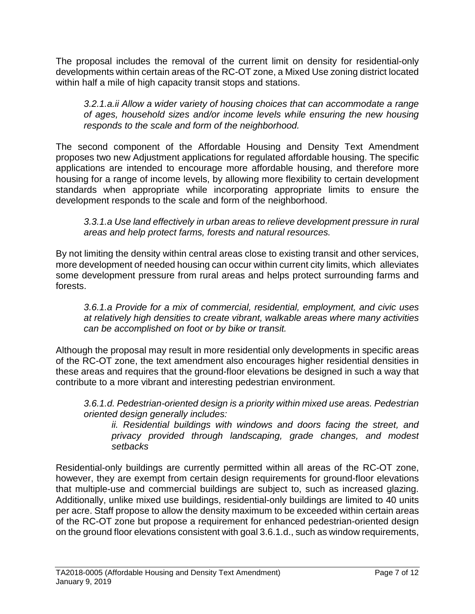The proposal includes the removal of the current limit on density for residential-only developments within certain areas of the RC-OT zone, a Mixed Use zoning district located within half a mile of high capacity transit stops and stations.

*3.2.1.a.ii Allow a wider variety of housing choices that can accommodate a range of ages, household sizes and/or income levels while ensuring the new housing responds to the scale and form of the neighborhood.*

The second component of the Affordable Housing and Density Text Amendment proposes two new Adjustment applications for regulated affordable housing. The specific applications are intended to encourage more affordable housing, and therefore more housing for a range of income levels, by allowing more flexibility to certain development standards when appropriate while incorporating appropriate limits to ensure the development responds to the scale and form of the neighborhood.

*3.3.1.a Use land effectively in urban areas to relieve development pressure in rural areas and help protect farms, forests and natural resources.*

By not limiting the density within central areas close to existing transit and other services, more development of needed housing can occur within current city limits, which alleviates some development pressure from rural areas and helps protect surrounding farms and forests.

*3.6.1.a Provide for a mix of commercial, residential, employment, and civic uses at relatively high densities to create vibrant, walkable areas where many activities can be accomplished on foot or by bike or transit.*

Although the proposal may result in more residential only developments in specific areas of the RC-OT zone, the text amendment also encourages higher residential densities in these areas and requires that the ground-floor elevations be designed in such a way that contribute to a more vibrant and interesting pedestrian environment.

*3.6.1.d. Pedestrian-oriented design is a priority within mixed use areas. Pedestrian oriented design generally includes:*

*ii. Residential buildings with windows and doors facing the street, and privacy provided through landscaping, grade changes, and modest setbacks*

Residential-only buildings are currently permitted within all areas of the RC-OT zone, however, they are exempt from certain design requirements for ground-floor elevations that multiple-use and commercial buildings are subject to, such as increased glazing. Additionally, unlike mixed use buildings, residential-only buildings are limited to 40 units per acre. Staff propose to allow the density maximum to be exceeded within certain areas of the RC-OT zone but propose a requirement for enhanced pedestrian-oriented design on the ground floor elevations consistent with goal 3.6.1.d., such as window requirements,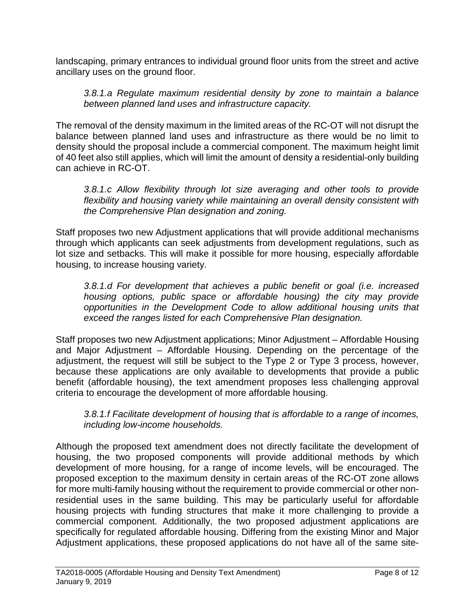landscaping, primary entrances to individual ground floor units from the street and active ancillary uses on the ground floor.

### *3.8.1.a Regulate maximum residential density by zone to maintain a balance between planned land uses and infrastructure capacity.*

The removal of the density maximum in the limited areas of the RC-OT will not disrupt the balance between planned land uses and infrastructure as there would be no limit to density should the proposal include a commercial component. The maximum height limit of 40 feet also still applies, which will limit the amount of density a residential-only building can achieve in RC-OT.

*3.8.1.c Allow flexibility through lot size averaging and other tools to provide flexibility and housing variety while maintaining an overall density consistent with the Comprehensive Plan designation and zoning.*

Staff proposes two new Adjustment applications that will provide additional mechanisms through which applicants can seek adjustments from development regulations, such as lot size and setbacks. This will make it possible for more housing, especially affordable housing, to increase housing variety.

*3.8.1.d For development that achieves a public benefit or goal (i.e. increased housing options, public space or affordable housing) the city may provide opportunities in the Development Code to allow additional housing units that exceed the ranges listed for each Comprehensive Plan designation.*

Staff proposes two new Adjustment applications; Minor Adjustment – Affordable Housing and Major Adjustment – Affordable Housing. Depending on the percentage of the adjustment, the request will still be subject to the Type 2 or Type 3 process, however, because these applications are only available to developments that provide a public benefit (affordable housing), the text amendment proposes less challenging approval criteria to encourage the development of more affordable housing.

*3.8.1.f Facilitate development of housing that is affordable to a range of incomes, including low-income households.*

Although the proposed text amendment does not directly facilitate the development of housing, the two proposed components will provide additional methods by which development of more housing, for a range of income levels, will be encouraged. The proposed exception to the maximum density in certain areas of the RC-OT zone allows for more multi-family housing without the requirement to provide commercial or other nonresidential uses in the same building. This may be particularly useful for affordable housing projects with funding structures that make it more challenging to provide a commercial component. Additionally, the two proposed adjustment applications are specifically for regulated affordable housing. Differing from the existing Minor and Major Adjustment applications, these proposed applications do not have all of the same site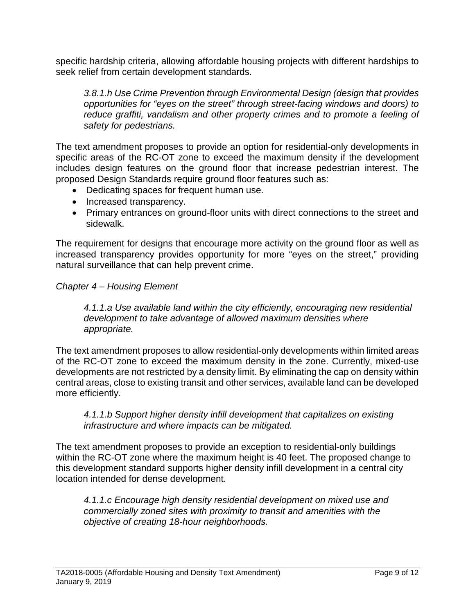specific hardship criteria, allowing affordable housing projects with different hardships to seek relief from certain development standards.

*3.8.1.h Use Crime Prevention through Environmental Design (design that provides opportunities for "eyes on the street" through street-facing windows and doors) to reduce graffiti, vandalism and other property crimes and to promote a feeling of safety for pedestrians.*

The text amendment proposes to provide an option for residential-only developments in specific areas of the RC-OT zone to exceed the maximum density if the development includes design features on the ground floor that increase pedestrian interest. The proposed Design Standards require ground floor features such as:

- Dedicating spaces for frequent human use.
- Increased transparency.
- Primary entrances on ground-floor units with direct connections to the street and sidewalk.

The requirement for designs that encourage more activity on the ground floor as well as increased transparency provides opportunity for more "eyes on the street," providing natural surveillance that can help prevent crime.

## *Chapter 4 – Housing Element*

*4.1.1.a Use available land within the city efficiently, encouraging new residential development to take advantage of allowed maximum densities where appropriate.*

The text amendment proposes to allow residential-only developments within limited areas of the RC-OT zone to exceed the maximum density in the zone. Currently, mixed-use developments are not restricted by a density limit. By eliminating the cap on density within central areas, close to existing transit and other services, available land can be developed more efficiently.

## *4.1.1.b Support higher density infill development that capitalizes on existing infrastructure and where impacts can be mitigated.*

The text amendment proposes to provide an exception to residential-only buildings within the RC-OT zone where the maximum height is 40 feet. The proposed change to this development standard supports higher density infill development in a central city location intended for dense development.

*4.1.1.c Encourage high density residential development on mixed use and commercially zoned sites with proximity to transit and amenities with the objective of creating 18-hour neighborhoods.*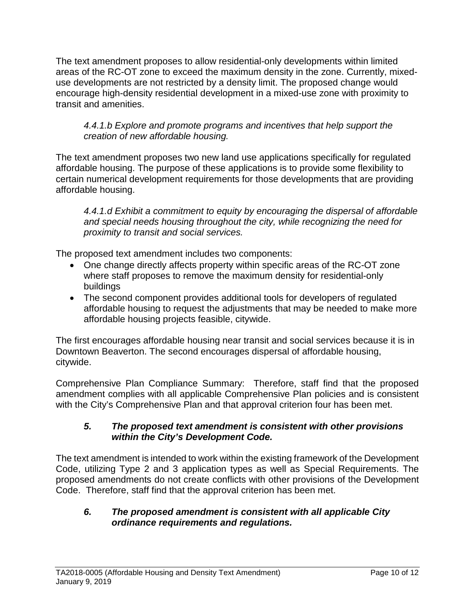The text amendment proposes to allow residential-only developments within limited areas of the RC-OT zone to exceed the maximum density in the zone. Currently, mixeduse developments are not restricted by a density limit. The proposed change would encourage high-density residential development in a mixed-use zone with proximity to transit and amenities.

## *4.4.1.b Explore and promote programs and incentives that help support the creation of new affordable housing.*

The text amendment proposes two new land use applications specifically for regulated affordable housing. The purpose of these applications is to provide some flexibility to certain numerical development requirements for those developments that are providing affordable housing.

*4.4.1.d Exhibit a commitment to equity by encouraging the dispersal of affordable and special needs housing throughout the city, while recognizing the need for proximity to transit and social services.*

The proposed text amendment includes two components:

- One change directly affects property within specific areas of the RC-OT zone where staff proposes to remove the maximum density for residential-only buildings
- The second component provides additional tools for developers of regulated affordable housing to request the adjustments that may be needed to make more affordable housing projects feasible, citywide.

The first encourages affordable housing near transit and social services because it is in Downtown Beaverton. The second encourages dispersal of affordable housing, citywide.

Comprehensive Plan Compliance Summary: Therefore, staff find that the proposed amendment complies with all applicable Comprehensive Plan policies and is consistent with the City's Comprehensive Plan and that approval criterion four has been met.

## *5. The proposed text amendment is consistent with other provisions within the City's Development Code.*

The text amendment is intended to work within the existing framework of the Development Code, utilizing Type 2 and 3 application types as well as Special Requirements. The proposed amendments do not create conflicts with other provisions of the Development Code. Therefore, staff find that the approval criterion has been met.

## *6. The proposed amendment is consistent with all applicable City ordinance requirements and regulations.*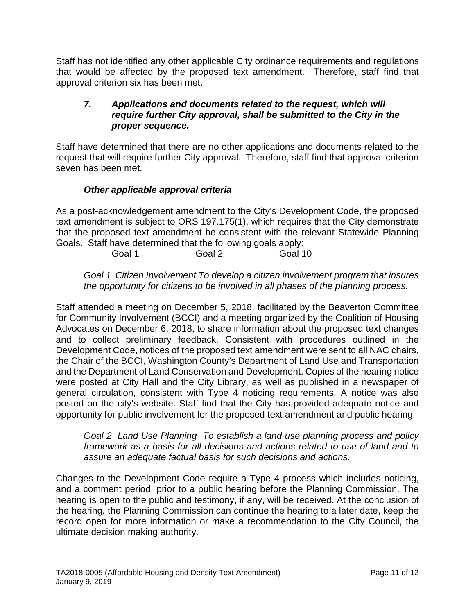Staff has not identified any other applicable City ordinance requirements and regulations that would be affected by the proposed text amendment. Therefore, staff find that approval criterion six has been met.

## *7. Applications and documents related to the request, which will require further City approval, shall be submitted to the City in the proper sequence.*

Staff have determined that there are no other applications and documents related to the request that will require further City approval. Therefore, staff find that approval criterion seven has been met.

# *Other applicable approval criteria*

As a post-acknowledgement amendment to the City's Development Code, the proposed text amendment is subject to ORS 197.175(1), which requires that the City demonstrate that the proposed text amendment be consistent with the relevant Statewide Planning Goals. Staff have determined that the following goals apply:

Goal 1 Goal 2 Goal 10

*Goal 1 Citizen Involvement To develop a citizen involvement program that insures the opportunity for citizens to be involved in all phases of the planning process.*

Staff attended a meeting on December 5, 2018, facilitated by the Beaverton Committee for Community Involvement (BCCI) and a meeting organized by the Coalition of Housing Advocates on December 6, 2018, to share information about the proposed text changes and to collect preliminary feedback. Consistent with procedures outlined in the Development Code, notices of the proposed text amendment were sent to all NAC chairs, the Chair of the BCCI, Washington County's Department of Land Use and Transportation and the Department of Land Conservation and Development. Copies of the hearing notice were posted at City Hall and the City Library, as well as published in a newspaper of general circulation, consistent with Type 4 noticing requirements. A notice was also posted on the city's website. Staff find that the City has provided adequate notice and opportunity for public involvement for the proposed text amendment and public hearing.

*Goal 2 Land Use Planning To establish a land use planning process and policy framework as a basis for all decisions and actions related to use of land and to assure an adequate factual basis for such decisions and actions.*

Changes to the Development Code require a Type 4 process which includes noticing, and a comment period, prior to a public hearing before the Planning Commission. The hearing is open to the public and testimony, if any, will be received. At the conclusion of the hearing, the Planning Commission can continue the hearing to a later date, keep the record open for more information or make a recommendation to the City Council, the ultimate decision making authority.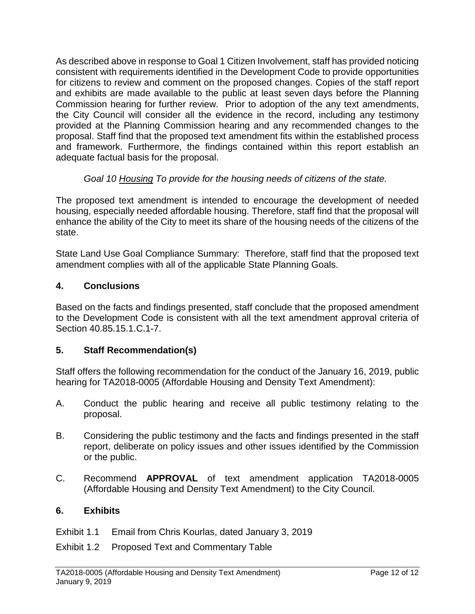As described above in response to Goal 1 Citizen Involvement, staff has provided noticing consistent with requirements identified in the Development Code to provide opportunities for citizens to review and comment on the proposed changes. Copies of the staff report and exhibits are made available to the public at least seven days before the Planning Commission hearing for further review. Prior to adoption of the any text amendments, the City Council will consider all the evidence in the record, including any testimony provided at the Planning Commission hearing and any recommended changes to the proposal. Staff find that the proposed text amendment fits within the established process and framework. Furthermore, the findings contained within this report establish an adequate factual basis for the proposal.

## *Goal 10 Housing To provide for the housing needs of citizens of the state.*

The proposed text amendment is intended to encourage the development of needed housing, especially needed affordable housing. Therefore, staff find that the proposal will enhance the ability of the City to meet its share of the housing needs of the citizens of the state.

State Land Use Goal Compliance Summary: Therefore, staff find that the proposed text amendment complies with all of the applicable State Planning Goals.

## **4. Conclusions**

Based on the facts and findings presented, staff conclude that the proposed amendment to the Development Code is consistent with all the text amendment approval criteria of Section 40.85.15.1.C.1-7.

## **5. Staff Recommendation(s)**

Staff offers the following recommendation for the conduct of the January 16, 2019, public hearing for TA2018-0005 (Affordable Housing and Density Text Amendment):

- A. Conduct the public hearing and receive all public testimony relating to the proposal.
- B. Considering the public testimony and the facts and findings presented in the staff report, deliberate on policy issues and other issues identified by the Commission or the public.
- C. Recommend **APPROVAL** of text amendment application TA2018-0005 (Affordable Housing and Density Text Amendment) to the City Council.

## **6. Exhibits**

- Exhibit 1.1 Email from Chris Kourlas, dated January 3, 2019
- Exhibit 1.2 Proposed Text and Commentary Table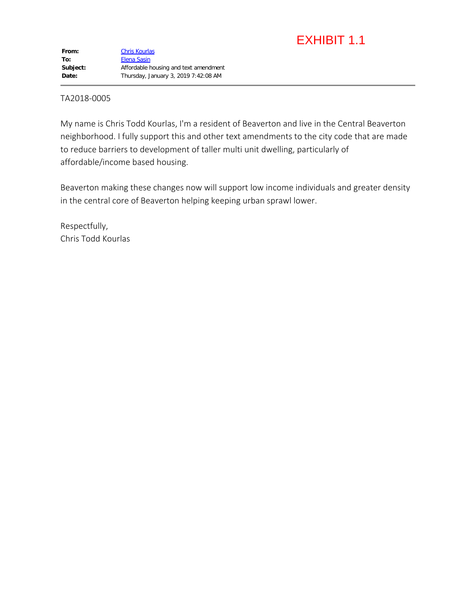# EXHIBIT 1.1

#### TA2018-0005

My name is Chris Todd Kourlas, I'm a resident of Beaverton and live in the Central Beaverton neighborhood. I fully support this and other text amendments to the city code that are made to reduce barriers to development of taller multi unit dwelling, particularly of affordable/income based housing.

Beaverton making these changes now will support low income individuals and greater density in the central core of Beaverton helping keeping urban sprawl lower.

Respectfully, Chris Todd Kourlas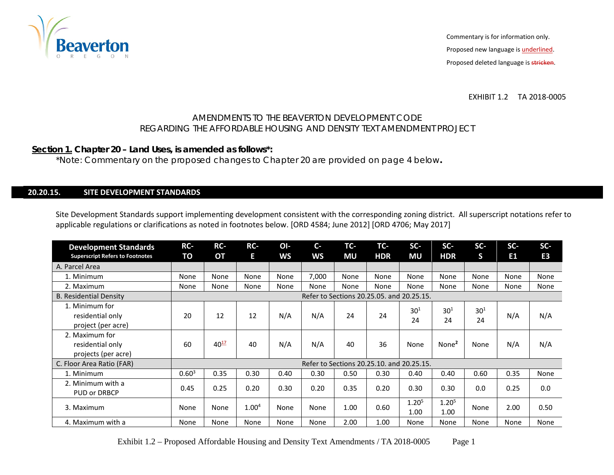

EXHIBIT 1.2 TA 2018-0005

#### AMENDMENTS TO THE BEAVERTON DEVELOPMENT CODE REGARDING THE AFFORDABLE HOUSING AND DENSITY TEXT AMENDMENT PROJECT

#### **Section 1. Chapter 20 – Land Uses, is amended as follows\*:**

\*Note: Commentary on the proposed changes to Chapter 20 are provided on page 4 below**.** 

#### **20.20.15. SITE DEVELOPMENT STANDARDS**

Site Development Standards support implementing development consistent with the corresponding zoning district. All superscript notations refer to applicable regulations or clarifications as noted in footnotes below. [ORD 4584; June 2012] [ORD 4706; May 2017]

| <b>Development Standards</b><br><b>Superscript Refers to Footnotes</b> | RC-<br>TO  | RC-<br>OT | RC-<br>E.         | OI-<br><b>WS</b> | $C -$<br><b>WS</b>                        | TC-<br><b>MU</b> | TC-<br><b>HDR</b> | $SC-$<br>MU               | SC-<br><b>HDR</b>         | SC-<br>S       | SC-<br>E <sub>1</sub> | SC-<br>E <sub>3</sub> |
|------------------------------------------------------------------------|------------|-----------|-------------------|------------------|-------------------------------------------|------------------|-------------------|---------------------------|---------------------------|----------------|-----------------------|-----------------------|
| A. Parcel Area                                                         |            |           |                   |                  |                                           |                  |                   |                           |                           |                |                       |                       |
| 1. Minimum                                                             | None       | None      | None              | None             | 7,000                                     | None             | None              | None                      | None                      | None           | None                  | None                  |
| 2. Maximum                                                             | None       | None      | None              | None             | None                                      | None             | None              | None                      | None                      | None           | None                  | None                  |
| <b>B. Residential Density</b>                                          |            |           |                   |                  | Refer to Sections 20.25.05, and 20.25.15. |                  |                   |                           |                           |                |                       |                       |
| 1. Minimum for<br>residential only<br>project (per acre)               | 20         | 12        | 12                | N/A              | N/A                                       | 24               | 24                | $30^{1}$<br>24            | $30^{1}$<br>24            | $30^{1}$<br>24 | N/A                   | N/A                   |
| 2. Maximum for<br>residential only<br>projects (per acre)              | 60         | $40^{17}$ | 40                | N/A              | N/A                                       | 40               | 36                | None                      | None <sup>2</sup>         | None           | N/A                   | N/A                   |
| C. Floor Area Ratio (FAR)                                              |            |           |                   |                  | Refer to Sections 20.25.10. and 20.25.15. |                  |                   |                           |                           |                |                       |                       |
| 1. Minimum                                                             | $0.60^{3}$ | 0.35      | 0.30              | 0.40             | 0.30                                      | 0.50             | 0.30              | 0.40                      | 0.40                      | 0.60           | 0.35                  | None                  |
| 2. Minimum with a<br><b>PUD or DRBCP</b>                               | 0.45       | 0.25      | 0.20              | 0.30             | 0.20                                      | 0.35             | 0.20              | 0.30                      | 0.30                      | 0.0            | 0.25                  | 0.0                   |
| 3. Maximum                                                             | None       | None      | 1.00 <sup>4</sup> | None             | None                                      | 1.00             | 0.60              | 1.20 <sup>5</sup><br>1.00 | 1.20 <sup>5</sup><br>1.00 | None           | 2.00                  | 0.50                  |
| 4. Maximum with a                                                      | None       | None      | None              | None             | None                                      | 2.00             | 1.00              | None                      | None                      | None           | None                  | None                  |

Exhibit 1.2 – Proposed Affordable Housing and Density Text Amendments / TA 2018-0005 Page 1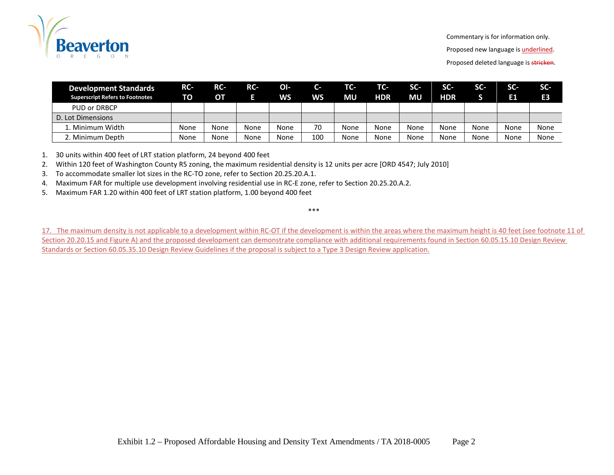

Commentary is for information only.

Proposed new language is **underlined**.

Proposed deleted language is stricken.

| <b>Development Standards</b><br><b>Superscript Refers to Footnotes</b> | RC-<br>TO | RC-<br>OТ | RC-  | OI-<br><b>WS</b> | $C -$<br><b>WS</b> | TC-<br>MU | TC-<br><b>HDR</b> | <b>SG</b><br>ΜU | $SC-$<br><b>HDR</b> | <b>SG.</b> | SC-<br>E1 | SC-<br>E <sub>3</sub> |
|------------------------------------------------------------------------|-----------|-----------|------|------------------|--------------------|-----------|-------------------|-----------------|---------------------|------------|-----------|-----------------------|
| PUD or DRBCP                                                           |           |           |      |                  |                    |           |                   |                 |                     |            |           |                       |
| D. Lot Dimensions                                                      |           |           |      |                  |                    |           |                   |                 |                     |            |           |                       |
| 1. Minimum Width                                                       | None      | None      | None | None             | 70                 | None      | None              | None            | None                | None       | None      | None                  |
| 2. Minimum Depth                                                       | None      | None      | None | None             | 100                | None      | None              | None            | None                | None       | None      | None                  |

1. 30 units within 400 feet of LRT station platform, 24 beyond 400 feet

2. Within 120 feet of Washington County R5 zoning, the maximum residential density is 12 units per acre [ORD 4547; July 2010]

3. To accommodate smaller lot sizes in the RC-TO zone, refer to Section 20.25.20.A.1.

4. Maximum FAR for multiple use development involving residential use in RC-E zone, refer to Section 20.25.20.A.2.

5. Maximum FAR 1.20 within 400 feet of LRT station platform, 1.00 beyond 400 feet

\*\*\*

17. The maximum density is not applicable to a development within RC-OT if the development is within the areas where the maximum height is 40 feet (see footnote 11 of Section 20.20.15 and Figure A) and the proposed development can demonstrate compliance with additional requirements found in Section 60.05.15.10 Design Review Standards or Section 60.05.35.10 Design Review Guidelines if the proposal is subject to a Type 3 Design Review application.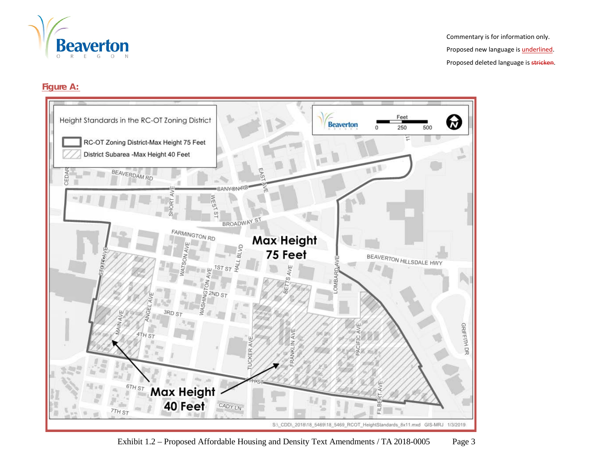

#### **Figure A:**



Exhibit 1.2 – Proposed Affordable Housing and Density Text Amendments / TA 2018-0005 Page 3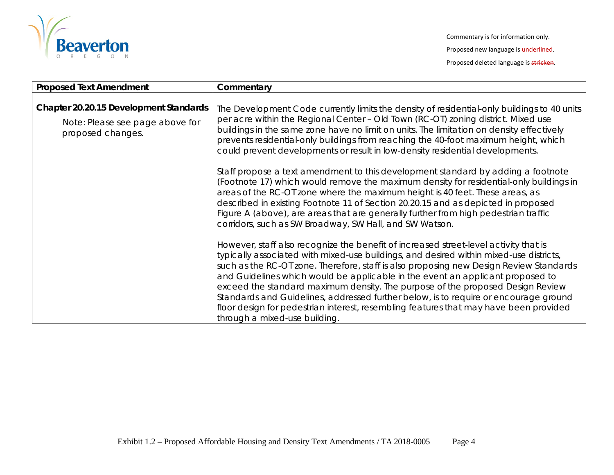

| <b>Proposed Text Amendment</b>                       | Commentary                                                                                                                                                                                                                                                                                                                                                                                                                                                                                                                                                                                                                                                     |
|------------------------------------------------------|----------------------------------------------------------------------------------------------------------------------------------------------------------------------------------------------------------------------------------------------------------------------------------------------------------------------------------------------------------------------------------------------------------------------------------------------------------------------------------------------------------------------------------------------------------------------------------------------------------------------------------------------------------------|
| Chapter 20.20.15 Development Standards               | The Development Code currently limits the density of residential-only buildings to 40 units<br>per acre within the Regional Center - Old Town (RC-OT) zoning district. Mixed use                                                                                                                                                                                                                                                                                                                                                                                                                                                                               |
| Note: Please see page above for<br>proposed changes. | buildings in the same zone have no limit on units. The limitation on density effectively<br>prevents residential-only buildings from reaching the 40-foot maximum height, which<br>could prevent developments or result in low-density residential developments.                                                                                                                                                                                                                                                                                                                                                                                               |
|                                                      | Staff propose a text amendment to this development standard by adding a footnote<br>(Footnote 17) which would remove the maximum density for residential-only buildings in<br>areas of the RC-OT zone where the maximum height is 40 feet. These areas, as<br>described in existing Footnote 11 of Section 20.20.15 and as depicted in proposed<br>Figure A (above), are areas that are generally further from high pedestrian traffic<br>corridors, such as SW Broadway, SW Hall, and SW Watson.                                                                                                                                                              |
|                                                      | However, staff also recognize the benefit of increased street-level activity that is<br>typically associated with mixed-use buildings, and desired within mixed-use districts,<br>such as the RC-OT zone. Therefore, staff is also proposing new Design Review Standards<br>and Guidelines which would be applicable in the event an applicant proposed to<br>exceed the standard maximum density. The purpose of the proposed Design Review<br>Standards and Guidelines, addressed further below, is to require or encourage ground<br>floor design for pedestrian interest, resembling features that may have been provided<br>through a mixed-use building. |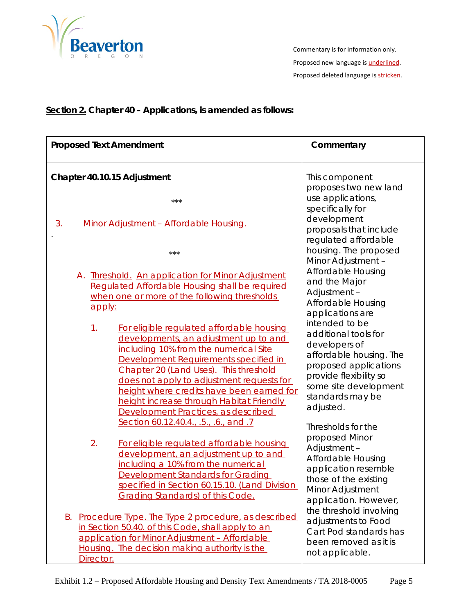

### **Section 2. Chapter 40 – Applications, is amended as follows:**

| <b>Proposed Text Amendment</b>                                                                                                                                                                                                                                                                                                                                                                    | Commentary                                                                                                                                                                                                                |
|---------------------------------------------------------------------------------------------------------------------------------------------------------------------------------------------------------------------------------------------------------------------------------------------------------------------------------------------------------------------------------------------------|---------------------------------------------------------------------------------------------------------------------------------------------------------------------------------------------------------------------------|
| Chapter 40.10.15 Adjustment                                                                                                                                                                                                                                                                                                                                                                       | This component<br>proposes two new land                                                                                                                                                                                   |
| $***$                                                                                                                                                                                                                                                                                                                                                                                             | use applications,                                                                                                                                                                                                         |
| 3.<br>Minor Adjustment - Affordable Housing.                                                                                                                                                                                                                                                                                                                                                      | specifically for<br>development<br>proposals that include<br>regulated affordable                                                                                                                                         |
| $***$                                                                                                                                                                                                                                                                                                                                                                                             | housing. The proposed<br>Minor Adjustment -                                                                                                                                                                               |
| A. <b>Ihreshold.</b> An application for Minor Adjustment<br>Regulated Affordable Housing shall be required<br>when one or more of the following thresholds<br>apply:                                                                                                                                                                                                                              | Affordable Housing<br>and the Major<br>Adjustment-<br>Affordable Housing<br>applications are                                                                                                                              |
| 1.<br>For eligible regulated affordable housing<br>developments, an adjustment up to and<br>including 10% from the numerical Site<br>Development Requirements specified in<br>Chapter 20 (Land Uses). This threshold<br>does not apply to adjustment requests for<br>height where credits have been earned for<br>height increase through Habitat Friendly<br>Development Practices, as described | intended to be<br>additional tools for<br>developers of<br>affordable housing. The<br>proposed applications<br>provide flexibility so<br>some site development<br>standards may be<br>adjusted.                           |
| Section 60.12.40.4., .5., .6., and .7<br>2.<br>For eligible regulated affordable housing<br>development, an adjustment up to and<br>including a 10% from the numerical<br><b>Development Standards for Grading</b><br>specified in Section 60.15.10. (Land Division<br><b>Grading Standards) of this Code.</b><br>Procedure Type. The Type 2 procedure, as described<br>Β.                        | Thresholds for the<br>proposed Minor<br>Adjustment-<br>Affordable Housing<br>application resemble<br>those of the existing<br>Minor Adjustment<br>application. However,<br>the threshold involving<br>adjustments to Food |
| in Section 50.40. of this Code, shall apply to an<br>application for Minor Adjustment - Affordable<br>Housing. The decision making authority is the<br>Director.                                                                                                                                                                                                                                  | Cart Pod standards has<br>been removed as it is<br>not applicable.                                                                                                                                                        |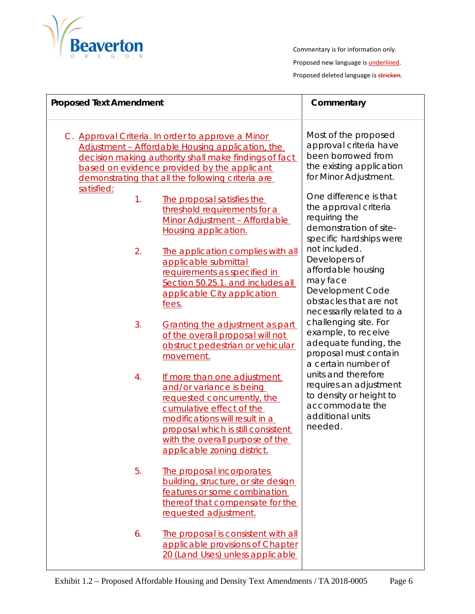

| <b>Proposed Text Amendment</b> |                                                                                                                                                                                                                                                                    | Commentary                                                                                                                                 |
|--------------------------------|--------------------------------------------------------------------------------------------------------------------------------------------------------------------------------------------------------------------------------------------------------------------|--------------------------------------------------------------------------------------------------------------------------------------------|
|                                | C. Approval Criteria. In order to approve a Minor<br>Adjustment - Affordable Housing application, the<br>decision making authority shall make findings of fact<br>based on evidence provided by the applicant<br>demonstrating that all the following criteria are | Most of the proposed<br>approval criteria have<br>been borrowed from<br>the existing application<br>for Minor Adjustment.                  |
| satisfied:<br>1.               | The proposal satisfies the<br>threshold requirements for a<br>Minor Adjustment - Affordable<br><b>Housing application.</b>                                                                                                                                         | One difference is that<br>the approval criteria<br>requiring the<br>demonstration of site-<br>specific hardships were                      |
| 2.                             | The application complies with all<br>applicable submittal<br>requirements as specified in<br>Section 50.25.1. and includes all<br>applicable City application<br>fees.                                                                                             | not included.<br>Developers of<br>affordable housing<br>may face<br>Development Code<br>obstacles that are not<br>necessarily related to a |
| 3.                             | Granting the adjustment as part<br>of the overall proposal will not<br>obstruct pedestrian or vehicular<br>movement.                                                                                                                                               | challenging site. For<br>example, to receive<br>adequate funding, the<br>proposal must contain<br>a certain number of                      |
| 4.                             | If more than one adjustment<br>and/or variance is being<br>requested concurrently, the<br>cumulative effect of the<br>modifications will result in a<br>proposal which is still consistent<br>with the overall purpose of the<br>applicable zoning district.       | units and therefore<br>requires an adjustment<br>to density or height to<br>accommodate the<br>additional units<br>needed.                 |
| 5.                             | The proposal incorporates<br>building, structure, or site design<br>features or some combination<br>thereof that compensate for the<br>requested adjustment.                                                                                                       |                                                                                                                                            |
| 6.                             | The proposal is consistent with all<br>applicable provisions of Chapter<br>20 (Land Uses) unless applicable                                                                                                                                                        |                                                                                                                                            |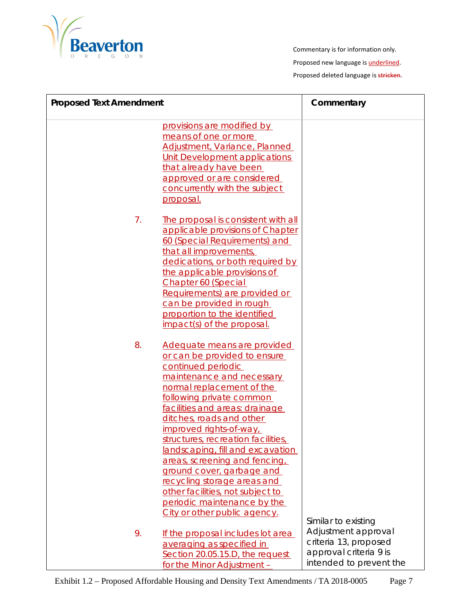

| <b>Proposed Text Amendment</b> |                                                                                                                                                                                                                                                                                                                                                                                                                                                                                                                                           | Commentary                                                                                        |
|--------------------------------|-------------------------------------------------------------------------------------------------------------------------------------------------------------------------------------------------------------------------------------------------------------------------------------------------------------------------------------------------------------------------------------------------------------------------------------------------------------------------------------------------------------------------------------------|---------------------------------------------------------------------------------------------------|
|                                | provisions are modified by<br>means of one or more<br>Adjustment, Variance, Planned<br>Unit Development applications<br>that already have been<br>approved or are considered<br>concurrently with the subject<br>proposal.                                                                                                                                                                                                                                                                                                                |                                                                                                   |
| 7.                             | The proposal is consistent with all<br>applicable provisions of Chapter<br>60 (Special Requirements) and<br>that all improvements,<br>dedications, or both required by<br>the applicable provisions of<br>Chapter 60 (Special<br>Requirements) are provided or<br>can be provided in rough<br>proportion to the identified<br>impact(s) of the proposal.                                                                                                                                                                                  |                                                                                                   |
| 8.                             | Adequate means are provided<br>or can be provided to ensure<br>continued periodic<br>maintenance and necessary<br>normal replacement of the<br>following private common<br>facilities and areas: drainage<br>ditches, roads and other<br>improved rights-of-way<br>structures, recreation facilities,<br>landscaping, fill and excavation<br>areas, screening and fencing,<br>ground cover, garbage and<br>recycling storage areas and<br>other facilities, not subject to<br>periodic maintenance by the<br>City or other public agency. | Similar to existing                                                                               |
| 9.                             | If the proposal includes lot area<br>averaging as specified in<br>Section 20.05.15.D, the request<br>for the Minor Adjustment -                                                                                                                                                                                                                                                                                                                                                                                                           | Adjustment approval<br>criteria 13, proposed<br>approval criteria 9 is<br>intended to prevent the |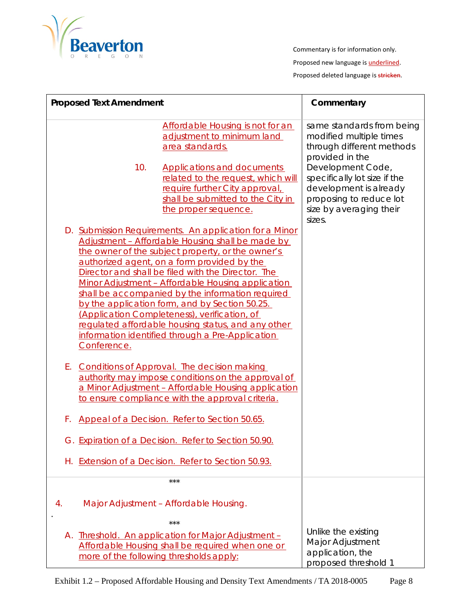

Commentary is for information only.

Proposed new language is **underlined**.

Proposed deleted language is stricken.

|    | <b>Proposed Text Amendment</b> |                                                                                                                                                                                                                                                                                                                                                                                                                                                                                                                                                                                           | Commentary                                                                                                                                  |
|----|--------------------------------|-------------------------------------------------------------------------------------------------------------------------------------------------------------------------------------------------------------------------------------------------------------------------------------------------------------------------------------------------------------------------------------------------------------------------------------------------------------------------------------------------------------------------------------------------------------------------------------------|---------------------------------------------------------------------------------------------------------------------------------------------|
|    |                                | Affordable Housing is not for an<br>adjustment to minimum land<br>area standards.                                                                                                                                                                                                                                                                                                                                                                                                                                                                                                         | same standards from being<br>modified multiple times<br>through different methods<br>provided in the                                        |
|    | 10.                            | <b>Applications and documents</b><br>related to the request, which will<br>require further City approval,<br>shall be submitted to the City in<br>the proper sequence.                                                                                                                                                                                                                                                                                                                                                                                                                    | Development Code,<br>specifically lot size if the<br>development is already<br>proposing to reduce lot<br>size by averaging their<br>sizes. |
|    | Conference.                    | D. Submission Requirements. An application for a Minor<br>Adjustment - Affordable Housing shall be made by<br>the owner of the subject property, or the owner's<br>authorized agent, on a form provided by the<br>Director and shall be filed with the Director. The<br>Minor Adjustment - Affordable Housing application<br>shall be accompanied by the information required<br>by the application form, and by Section 50.25.<br>(Application Completeness), verification, of<br>regulated affordable housing status, and any other<br>information identified through a Pre-Application |                                                                                                                                             |
| Е. |                                | <b>Conditions of Approval. The decision making</b><br>authority may impose conditions on the approval of<br>a Minor Adjustment - Affordable Housing application<br>to ensure compliance with the approval criteria.                                                                                                                                                                                                                                                                                                                                                                       |                                                                                                                                             |
| F. |                                | Appeal of a Decision. Refer to Section 50.65.                                                                                                                                                                                                                                                                                                                                                                                                                                                                                                                                             |                                                                                                                                             |
|    |                                | G. Expiration of a Decision. Refer to Section 50.90.                                                                                                                                                                                                                                                                                                                                                                                                                                                                                                                                      |                                                                                                                                             |
|    |                                | H. Extension of a Decision. Refer to Section 50.93.                                                                                                                                                                                                                                                                                                                                                                                                                                                                                                                                       |                                                                                                                                             |
|    |                                | $***$                                                                                                                                                                                                                                                                                                                                                                                                                                                                                                                                                                                     |                                                                                                                                             |
| 4. |                                | Major Adjustment - Affordable Housing.                                                                                                                                                                                                                                                                                                                                                                                                                                                                                                                                                    |                                                                                                                                             |
|    |                                | $***$<br>A. Threshold. An application for Major Adjustment -<br>Affordable Housing shall be required when one or<br>more of the following thresholds apply:                                                                                                                                                                                                                                                                                                                                                                                                                               | Unlike the existing<br><b>Major Adjustment</b><br>application, the<br>proposed threshold 1                                                  |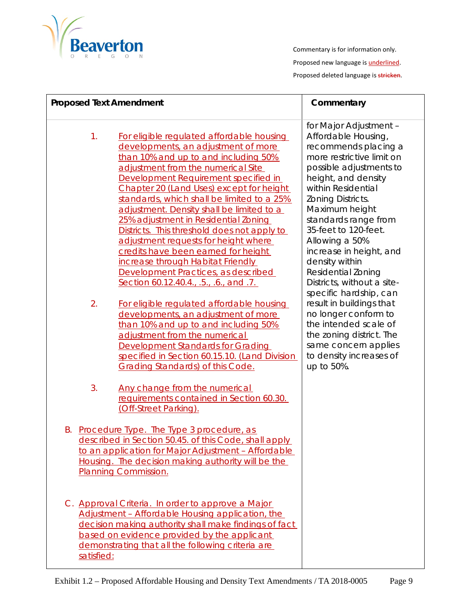

| <b>Proposed Text Amendment</b> |                                                                                                                                                                                                                                                                                                                                                                                                                                                                                                                                                                                                                                                                                                                                                                                                                                                                                                                                                                                                                                               | Commentary                                                                                                                                                                                                                                                                                                                                                                                                                                                                                                                                                                                      |
|--------------------------------|-----------------------------------------------------------------------------------------------------------------------------------------------------------------------------------------------------------------------------------------------------------------------------------------------------------------------------------------------------------------------------------------------------------------------------------------------------------------------------------------------------------------------------------------------------------------------------------------------------------------------------------------------------------------------------------------------------------------------------------------------------------------------------------------------------------------------------------------------------------------------------------------------------------------------------------------------------------------------------------------------------------------------------------------------|-------------------------------------------------------------------------------------------------------------------------------------------------------------------------------------------------------------------------------------------------------------------------------------------------------------------------------------------------------------------------------------------------------------------------------------------------------------------------------------------------------------------------------------------------------------------------------------------------|
| 1.<br>2.<br>3.                 | For eligible regulated affordable housing<br>developments, an adjustment of more<br>than 10% and up to and including 50%<br>adjustment from the numerical Site<br>Development Requirement specified in<br>Chapter 20 (Land Uses) except for height<br>standards, which shall be limited to a 25%<br>adjustment. Density shall be limited to a<br>25% adjustment in Residential Zoning<br>Districts. This threshold does not apply to<br>adjustment requests for height where<br>credits have been earned for height<br>increase through Habitat Friendly<br>Development Practices, as described<br>Section 60.12.40.4., .5., .6., and .7.<br>For eligible regulated affordable housing<br>developments, an adjustment of more<br>than 10% and up to and including 50%<br>adjustment from the numerical<br>Development Standards for Grading<br>specified in Section 60.15.10. (Land Division<br><b>Grading Standards) of this Code.</b><br>Any change from the numerical<br>requirements contained in Section 60.30.<br>(Off-Street Parking). | for Major Adjustment -<br>Affordable Housing,<br>recommends placing a<br>more restrictive limit on<br>possible adjustments to<br>height, and density<br>within Residential<br>Zoning Districts.<br>Maximum height<br>standards range from<br>35-feet to 120-feet.<br>Allowing a 50%<br>increase in height, and<br>density within<br><b>Residential Zoning</b><br>Districts, without a site-<br>specific hardship, can<br>result in buildings that<br>no longer conform to<br>the intended scale of<br>the zoning district. The<br>same concern applies<br>to density increases of<br>up to 50%. |
|                                | B. Procedure Type. The Type 3 procedure, as<br>described in Section 50.45. of this Code, shall apply<br>to an application for Major Adjustment - Affordable<br>Housing. The decision making authority will be the<br><b>Planning Commission.</b>                                                                                                                                                                                                                                                                                                                                                                                                                                                                                                                                                                                                                                                                                                                                                                                              |                                                                                                                                                                                                                                                                                                                                                                                                                                                                                                                                                                                                 |
| satisfied:                     | C. Approval Criteria. In order to approve a Major<br>Adjustment - Affordable Housing application, the<br>decision making authority shall make findings of fact<br>based on evidence provided by the applicant<br>demonstrating that all the following criteria are                                                                                                                                                                                                                                                                                                                                                                                                                                                                                                                                                                                                                                                                                                                                                                            |                                                                                                                                                                                                                                                                                                                                                                                                                                                                                                                                                                                                 |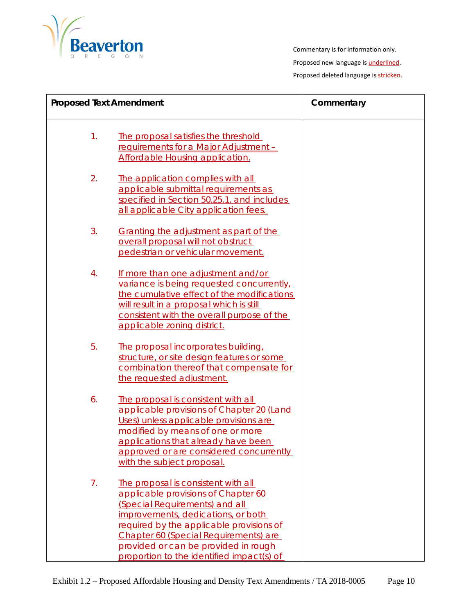

| <b>Proposed Text Amendment</b> |                                                                                                                                                                                                                                                                                                                              | Commentary |
|--------------------------------|------------------------------------------------------------------------------------------------------------------------------------------------------------------------------------------------------------------------------------------------------------------------------------------------------------------------------|------------|
| 1.                             | The proposal satisfies the threshold<br>requirements for a Major Adjustment -<br><b>Affordable Housing application.</b>                                                                                                                                                                                                      |            |
| 2.                             | The application complies with all<br>applicable submittal requirements as<br>specified in Section 50.25.1. and includes<br>all applicable City application fees.                                                                                                                                                             |            |
| 3.                             | Granting the adjustment as part of the<br>overall proposal will not obstruct<br>pedestrian or vehicular movement.                                                                                                                                                                                                            |            |
| 4.                             | If more than one adjustment and/or<br>variance is being requested concurrently,<br>the cumulative effect of the modifications<br>will result in a proposal which is still<br>consistent with the overall purpose of the<br>applicable zoning district.                                                                       |            |
| 5.                             | The proposal incorporates building,<br>structure, or site design features or some<br>combination thereof that compensate for<br>the requested adjustment.                                                                                                                                                                    |            |
| 6.                             | The proposal is consistent with all<br>applicable provisions of Chapter 20 (Land<br>Uses) unless applicable provisions are<br>modified by means of one or more<br>applications that already have been<br>approved or are considered concurrently<br>with the subject proposal.                                               |            |
| 7 <sub>1</sub>                 | The proposal is consistent with all<br>applicable provisions of Chapter 60<br>(Special Requirements) and all<br>improvements, dedications, or both<br>required by the applicable provisions of<br>Chapter 60 (Special Requirements) are<br>provided or can be provided in rough<br>proportion to the identified impact(s) of |            |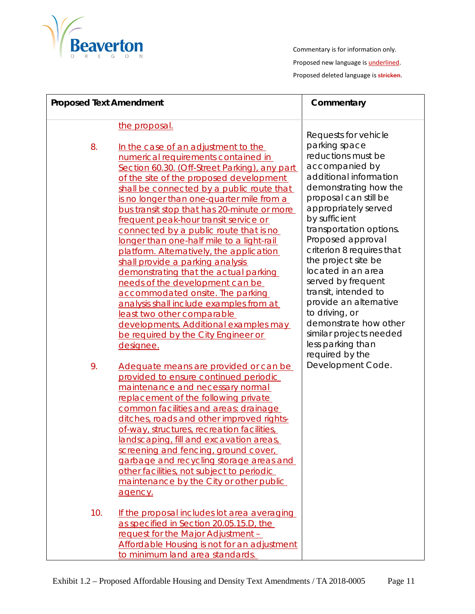

| <b>Proposed Text Amendment</b> |                                                                                                                                                                                                                                                                                                                                                                                                                                                                                                                                                                                                                                                                                                                                                                                                                           | Commentary                                                                                                                                                                                                                                                                                                                                                                                                                                                                 |
|--------------------------------|---------------------------------------------------------------------------------------------------------------------------------------------------------------------------------------------------------------------------------------------------------------------------------------------------------------------------------------------------------------------------------------------------------------------------------------------------------------------------------------------------------------------------------------------------------------------------------------------------------------------------------------------------------------------------------------------------------------------------------------------------------------------------------------------------------------------------|----------------------------------------------------------------------------------------------------------------------------------------------------------------------------------------------------------------------------------------------------------------------------------------------------------------------------------------------------------------------------------------------------------------------------------------------------------------------------|
| 8.                             | the proposal.<br>In the case of an adjustment to the<br>numerical requirements contained in<br>Section 60.30. (Off-Street Parking), any part<br>of the site of the proposed development<br>shall be connected by a public route that<br>is no longer than one-quarter mile from a<br>bus transit stop that has 20-minute or more<br>frequent peak-hour transit service or<br>connected by a public route that is no<br>longer than one-half mile to a light-rail<br>platform. Alternatively, the application<br>shall provide a parking analysis<br>demonstrating that the actual parking<br>needs of the development can be<br>accommodated onsite. The parking<br>analysis shall include examples from at<br>least two other comparable<br>developments. Additional examples may<br>be required by the City Engineer or | Requests for vehicle<br>parking space<br>reductions must be<br>accompanied by<br>additional information<br>demonstrating how the<br>proposal can still be<br>appropriately served<br>by sufficient<br>transportation options.<br>Proposed approval<br>criterion 8 requires that<br>the project site be<br>located in an area<br>served by frequent<br>transit, intended to<br>provide an alternative<br>to driving, or<br>demonstrate how other<br>similar projects needed |
| 9.<br>10.                      | designee.<br>Adequate means are provided or can be<br>provided to ensure continued periodic<br>maintenance and necessary normal<br>replacement of the following private<br>common facilities and areas: drainage<br>ditches, roads and other improved rights-<br>of-way, structures, recreation facilities,<br>landscaping, fill and excavation areas,<br>screening and fencing, ground cover,<br>garbage and recycling storage areas and<br>other facilities, not subject to periodic<br>maintenance by the City or other public<br>agency.<br>If the proposal includes lot area averaging<br>as specified in Section 20.05.15.D, the<br>request for the Major Adjustment -<br>Affordable Housing is not for an adjustment<br>to minimum land area standards.                                                            | less parking than<br>required by the<br>Development Code.                                                                                                                                                                                                                                                                                                                                                                                                                  |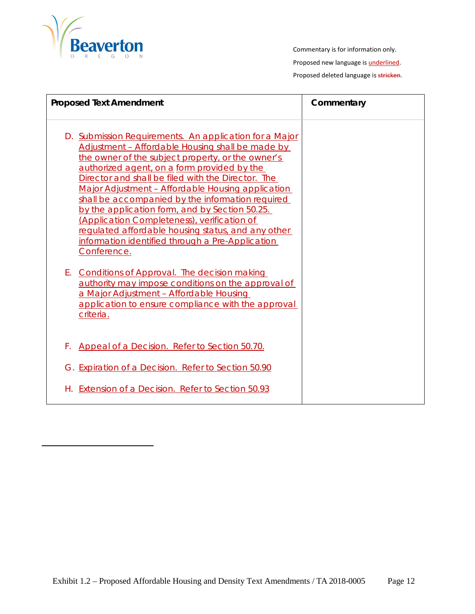

| <b>Proposed Text Amendment</b>                                                                                                                                                                                                                                                                                                                                                                                                                                                                                                                                                                          | Commentary |
|---------------------------------------------------------------------------------------------------------------------------------------------------------------------------------------------------------------------------------------------------------------------------------------------------------------------------------------------------------------------------------------------------------------------------------------------------------------------------------------------------------------------------------------------------------------------------------------------------------|------------|
| D. Submission Requirements. An application for a Major<br>Adjustment - Affordable Housing shall be made by<br>the owner of the subject property, or the owner's<br>authorized agent, on a form provided by the<br>Director and shall be filed with the Director. The<br>Major Adjustment - Affordable Housing application<br>shall be accompanied by the information required<br>by the application form, and by Section 50.25.<br>(Application Completeness), verification of<br>regulated affordable housing status, and any other<br>information identified through a Pre-Application<br>Conference. |            |
| Е.<br><b>Conditions of Approval. The decision making</b><br>authority may impose conditions on the approval of<br>a Major Adjustment - Affordable Housing<br>application to ensure compliance with the approval<br>criteria.                                                                                                                                                                                                                                                                                                                                                                            |            |
| Appeal of a Decision. Refer to Section 50.70.<br>F.                                                                                                                                                                                                                                                                                                                                                                                                                                                                                                                                                     |            |
| G. Expiration of a Decision. Refer to Section 50.90                                                                                                                                                                                                                                                                                                                                                                                                                                                                                                                                                     |            |
| Extension of a Decision. Refer to Section 50.93<br>Н.                                                                                                                                                                                                                                                                                                                                                                                                                                                                                                                                                   |            |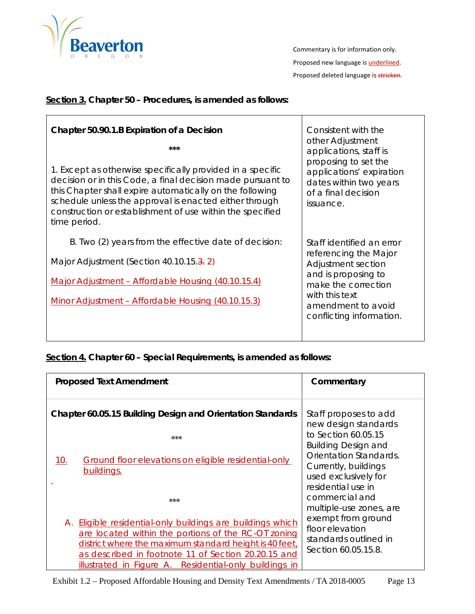

## **Section 3. Chapter 50 – Procedures, is amended as follows:**

| Chapter 50.90.1.B Expiration of a Decision<br>***<br>1. Except as otherwise specifically provided in a specific<br>decision or in this Code, a final decision made pursuant to<br>this Chapter shall expire automatically on the following<br>schedule unless the approval is enacted either through<br>construction or establishment of use within the specified<br>time period. | Consistent with the<br>other Adjustment<br>applications, staff is<br>proposing to set the<br>applications' expiration<br>dates within two years<br>of a final decision<br>issuance. |
|-----------------------------------------------------------------------------------------------------------------------------------------------------------------------------------------------------------------------------------------------------------------------------------------------------------------------------------------------------------------------------------|-------------------------------------------------------------------------------------------------------------------------------------------------------------------------------------|
| B. Two (2) years from the effective date of decision:<br>Major Adjustment (Section 40.10.15.3.2)<br>Major Adjustment - Affordable Housing (40.10.15.4)<br>Minor Adjustment - Affordable Housing (40.10.15.3)                                                                                                                                                                      | Staff identified an error<br>referencing the Major<br>Adjustment section<br>and is proposing to<br>make the correction<br>with this text<br>amendment to avoid                      |
|                                                                                                                                                                                                                                                                                                                                                                                   | conflicting information.                                                                                                                                                            |

**Section 4. Chapter 60 – Special Requirements, is amended as follows:**

| <b>Proposed Text Amendment</b>                                                                                                                                                                                                                                                               | Commentary                                                                                           |
|----------------------------------------------------------------------------------------------------------------------------------------------------------------------------------------------------------------------------------------------------------------------------------------------|------------------------------------------------------------------------------------------------------|
| Chapter 60.05.15 Building Design and Orientation Standards<br>$***$                                                                                                                                                                                                                          | Staff proposes to add<br>new design standards<br>to Section 60.05.15                                 |
| Ground floor elevations on eligible residential-only<br>10.<br>buildings.                                                                                                                                                                                                                    | <b>Building Design and</b><br>Orientation Standards.<br>Currently, buildings<br>used exclusively for |
| $***$                                                                                                                                                                                                                                                                                        | residential use in<br>commercial and<br>multiple-use zones, are                                      |
| A. Eligible residential-only buildings are buildings which<br>are located within the portions of the RC-OT zoning<br>district where the maximum standard height is 40 feet,<br>as described in footnote 11 of Section 20.20.15 and<br>illustrated in Figure A. Residential-only buildings in | exempt from ground<br>floor elevation<br>standards outlined in<br>Section 60.05.15.8.                |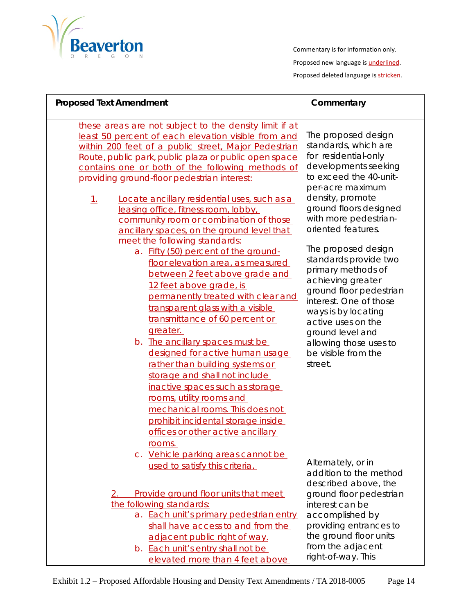

| <b>Proposed Text Amendment</b>                                                                                                                                                                                                                                                                                                                                                               | Commentary                                                                                                                                                                             |
|----------------------------------------------------------------------------------------------------------------------------------------------------------------------------------------------------------------------------------------------------------------------------------------------------------------------------------------------------------------------------------------------|----------------------------------------------------------------------------------------------------------------------------------------------------------------------------------------|
| these areas are not subject to the density limit if at<br>least 50 percent of each elevation visible from and<br>within 200 feet of a public street, Major Pedestrian<br>Route, public park, public plaza or public open space<br>contains one or both of the following methods of<br>providing ground-floor pedestrian interest:<br>Locate ancillary residential uses, such as a<br>$\perp$ | The proposed design<br>standards, which are<br>for residential-only<br>developments seeking<br>to exceed the 40-unit-<br>per-acre maximum<br>density, promote                          |
| leasing office, fitness room, lobby,<br>community room or combination of those<br>ancillary spaces, on the ground level that<br>meet the following standards:                                                                                                                                                                                                                                | ground floors designed<br>with more pedestrian-<br>oriented features.<br>The proposed design                                                                                           |
| a. Fifty (50) percent of the ground-<br>floor elevation area, as measured<br>between 2 feet above grade and<br>12 feet above grade, is<br>permanently treated with clear and<br>transparent glass with a visible<br>transmittance of 60 percent or<br>greater.                                                                                                                               | standards provide two<br>primary methods of<br>achieving greater<br>ground floor pedestrian<br>interest. One of those<br>ways is by locating<br>active uses on the<br>ground level and |
| b. The ancillary spaces must be<br>designed for active human usage<br>rather than building systems or<br>storage and shall not include<br>inactive spaces such as storage<br>rooms, utility rooms and<br>mechanical rooms. This does not<br>prohibit incidental storage inside<br>offices or other active ancillary<br>rooms.                                                                | allowing those uses to<br>be visible from the<br>street.                                                                                                                               |
| c. Vehicle parking areas cannot be<br>used to satisfy this criteria.                                                                                                                                                                                                                                                                                                                         | Alternately, or in<br>addition to the method<br>described above, the                                                                                                                   |
| Provide ground floor units that meet<br>2.                                                                                                                                                                                                                                                                                                                                                   | ground floor pedestrian                                                                                                                                                                |
| the following standards:                                                                                                                                                                                                                                                                                                                                                                     | interest can be                                                                                                                                                                        |
| a. Each unit's primary pedestrian entry<br>shall have access to and from the<br>adjacent public right of way.                                                                                                                                                                                                                                                                                | accomplished by<br>providing entrances to<br>the ground floor units                                                                                                                    |
| b. Each unit's entry shall not be                                                                                                                                                                                                                                                                                                                                                            | from the adjacent<br>right-of-way. This                                                                                                                                                |
| elevated more than 4 feet above                                                                                                                                                                                                                                                                                                                                                              |                                                                                                                                                                                        |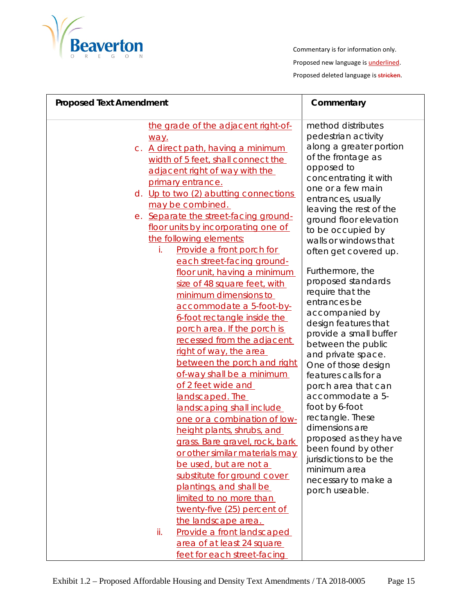

| <b>Proposed Text Amendment</b> |                                                                                                                                                                                                                                                                                                                                                                                                                                                                                                                                                                                                                                                                                                                                                                                                                                          | Commentary                                                                                                                                                                                                                                                                                                                                                                                                                                                                                                                                                                                                       |
|--------------------------------|------------------------------------------------------------------------------------------------------------------------------------------------------------------------------------------------------------------------------------------------------------------------------------------------------------------------------------------------------------------------------------------------------------------------------------------------------------------------------------------------------------------------------------------------------------------------------------------------------------------------------------------------------------------------------------------------------------------------------------------------------------------------------------------------------------------------------------------|------------------------------------------------------------------------------------------------------------------------------------------------------------------------------------------------------------------------------------------------------------------------------------------------------------------------------------------------------------------------------------------------------------------------------------------------------------------------------------------------------------------------------------------------------------------------------------------------------------------|
|                                | the grade of the adjacent right-of-<br>way.<br>c. A direct path, having a minimum<br>width of 5 feet, shall connect the<br>adjacent right of way with the<br>primary entrance.                                                                                                                                                                                                                                                                                                                                                                                                                                                                                                                                                                                                                                                           | method distributes<br>pedestrian activity<br>along a greater portion<br>of the frontage as<br>opposed to<br>concentrating it with<br>one or a few main                                                                                                                                                                                                                                                                                                                                                                                                                                                           |
|                                | d. Up to two (2) abutting connections<br>may be combined.<br>e. Separate the street-facing ground-<br>floor units by incorporating one of<br>the following elements:<br>Provide a front porch for<br>İ.<br>each street-facing ground-<br>floor unit, having a minimum<br>size of 48 square feet, with<br>minimum dimensions to<br>accommodate a 5-foot-by-<br>6-foot rectangle inside the<br>porch area. If the porch is<br>recessed from the adjacent<br>right of way, the area<br>between the porch and right<br>of-way shall be a minimum<br>of 2 feet wide and<br>landscaped. The<br>landscaping shall include<br>one or a combination of low-<br>height plants, shrubs, and<br>grass. Bare gravel, rock, bark<br>or other similar materials may<br>be used, but are not a<br>substitute for ground cover<br>plantings, and shall be | entrances, usually<br>leaving the rest of the<br>ground floor elevation<br>to be occupied by<br>walls or windows that<br>often get covered up.<br>Furthermore, the<br>proposed standards<br>require that the<br>entrances be<br>accompanied by<br>design features that<br>provide a small buffer<br>between the public<br>and private space.<br>One of those design<br>features calls for a<br>porch area that can<br>accommodate a 5-<br>foot by 6-foot<br>rectangle. These<br>dimensions are<br>proposed as they have<br>been found by other<br>jurisdictions to be the<br>minimum area<br>necessary to make a |
|                                | limited to no more than<br>twenty-five (25) percent of<br>the landscape area.<br>Provide a front landscaped<br>ii.<br>area of at least 24 square<br>feet for each street-facing                                                                                                                                                                                                                                                                                                                                                                                                                                                                                                                                                                                                                                                          | porch useable.                                                                                                                                                                                                                                                                                                                                                                                                                                                                                                                                                                                                   |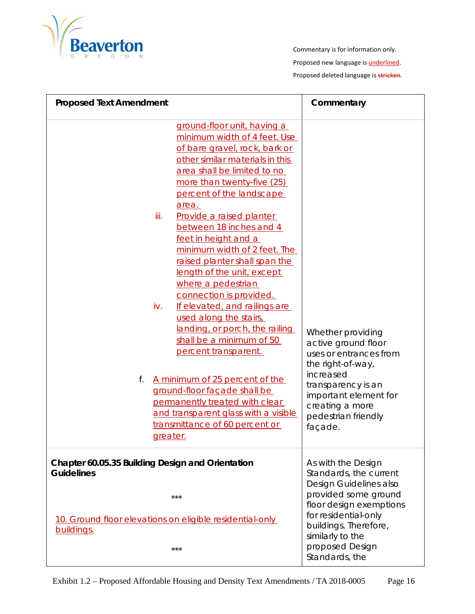

| <b>Proposed Text Amendment</b> |                                                                                                                                                                                                                                                                                                                                                                                                                                                                                                                                                                                                                                                                                                                                                                                                                            | Commentary                                                                                                                                                                                               |
|--------------------------------|----------------------------------------------------------------------------------------------------------------------------------------------------------------------------------------------------------------------------------------------------------------------------------------------------------------------------------------------------------------------------------------------------------------------------------------------------------------------------------------------------------------------------------------------------------------------------------------------------------------------------------------------------------------------------------------------------------------------------------------------------------------------------------------------------------------------------|----------------------------------------------------------------------------------------------------------------------------------------------------------------------------------------------------------|
| f.                             | ground-floor unit, having a<br>minimum width of 4 feet. Use<br>of bare gravel, rock, bark or<br>other similar materials in this<br>area shall be limited to no<br>more than twenty-five (25)<br>percent of the landscape<br>area.<br>iii.<br>Provide a raised planter<br>between 18 inches and 4<br>feet in height and a<br>minimum width of 2 feet. The<br>raised planter shall span the<br>length of the unit, except<br>where a pedestrian<br>connection is provided.<br>iv.<br>If elevated, and railings are<br>used along the stairs,<br>landing, or porch, the railing<br>shall be a minimum of 50<br>percent transparent.<br>A minimum of 25 percent of the<br>ground-floor façade shall be<br>permanently treated with clear<br>and transparent glass with a visible<br>transmittance of 60 percent or<br>greater. | Whether providing<br>active ground floor<br>uses or entrances from<br>the right-of-way,<br>increased<br>transparency is an<br>important element for<br>creating a more<br>pedestrian friendly<br>façade. |
| <b>Guidelines</b>              | Chapter 60.05.35 Building Design and Orientation<br>$***$                                                                                                                                                                                                                                                                                                                                                                                                                                                                                                                                                                                                                                                                                                                                                                  | As with the Design<br>Standards, the current<br>Design Guidelines also<br>provided some ground                                                                                                           |
| buildings.                     | 10. Ground floor elevations on eligible residential-only<br>$***$                                                                                                                                                                                                                                                                                                                                                                                                                                                                                                                                                                                                                                                                                                                                                          | floor design exemptions<br>for residential-only<br>buildings. Therefore,<br>similarly to the<br>proposed Design<br>Standards, the                                                                        |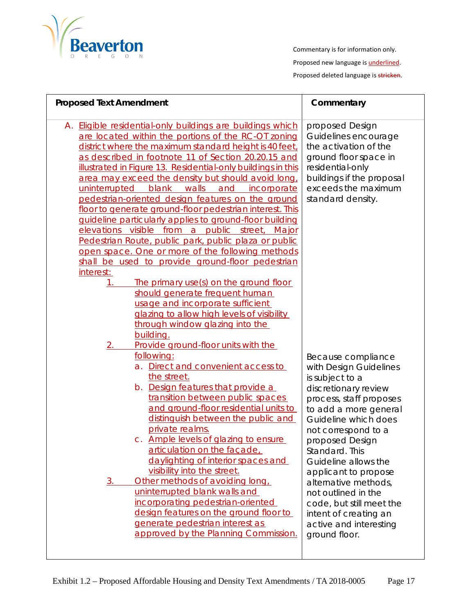

Commentary is for information only. Proposed new language is **underlined**.

Proposed deleted language is stricken.

| <b>Proposed Text Amendment</b>                                                                                                                                                                                                                                                                                                                                                                                                                                                                                                                                                                                                                                                                                                                                                                                                                                                                          | Commentary                                                                                                                                                                                                                                                                                                                                                                                                                     |
|---------------------------------------------------------------------------------------------------------------------------------------------------------------------------------------------------------------------------------------------------------------------------------------------------------------------------------------------------------------------------------------------------------------------------------------------------------------------------------------------------------------------------------------------------------------------------------------------------------------------------------------------------------------------------------------------------------------------------------------------------------------------------------------------------------------------------------------------------------------------------------------------------------|--------------------------------------------------------------------------------------------------------------------------------------------------------------------------------------------------------------------------------------------------------------------------------------------------------------------------------------------------------------------------------------------------------------------------------|
| A. Eligible residential-only buildings are buildings which<br>are located within the portions of the RC-OT zoning<br>district where the maximum standard height is 40 feet,<br>as described in footnote 11 of Section 20.20.15 and<br>illustrated in Figure 13. Residential-only buildings in this<br>area may exceed the density but should avoid long,<br>uninterrupted<br>blank<br>walls<br>and<br>incorporate<br>pedestrian-oriented design features on the ground<br>floor to generate ground-floor pedestrian interest. This<br>guideline particularly applies to ground-floor building<br>elevations visible from a public street, Major<br>Pedestrian Route, public park, public plaza or public<br>open space. One or more of the following methods<br>shall be used to provide ground-floor pedestrian                                                                                        | proposed Design<br>Guidelines encourage<br>the activation of the<br>ground floor space in<br>residential-only<br>buildings if the proposal<br>exceeds the maximum<br>standard density.                                                                                                                                                                                                                                         |
| interest:<br>The primary use(s) on the ground floor<br>1.<br>should generate frequent human<br>usage and incorporate sufficient<br>glazing to allow high levels of visibility<br>through window glazing into the<br>building.<br>2.<br>Provide ground-floor units with the<br>following:<br>a. Direct and convenient access to<br>the street.<br>b. Design features that provide a<br>transition between public spaces<br>and ground-floor residential units to<br>distinguish between the public and<br>private realms.<br>c. Ample levels of glazing to ensure<br>articulation on the facade.<br>daylighting of interior spaces and<br>visibility into the street.<br>Other methods of avoiding long<br>3.<br>uninterrupted blank walls and<br>incorporating pedestrian-oriented<br>design features on the ground floor to<br>generate pedestrian interest as<br>approved by the Planning Commission. | Because compliance<br>with Design Guidelines<br>is subject to a<br>discretionary review<br>process, staff proposes<br>to add a more general<br>Guideline which does<br>not correspond to a<br>proposed Design<br>Standard. This<br>Guideline allows the<br>applicant to propose<br>alternative methods,<br>not outlined in the<br>code, but still meet the<br>intent of creating an<br>active and interesting<br>ground floor. |